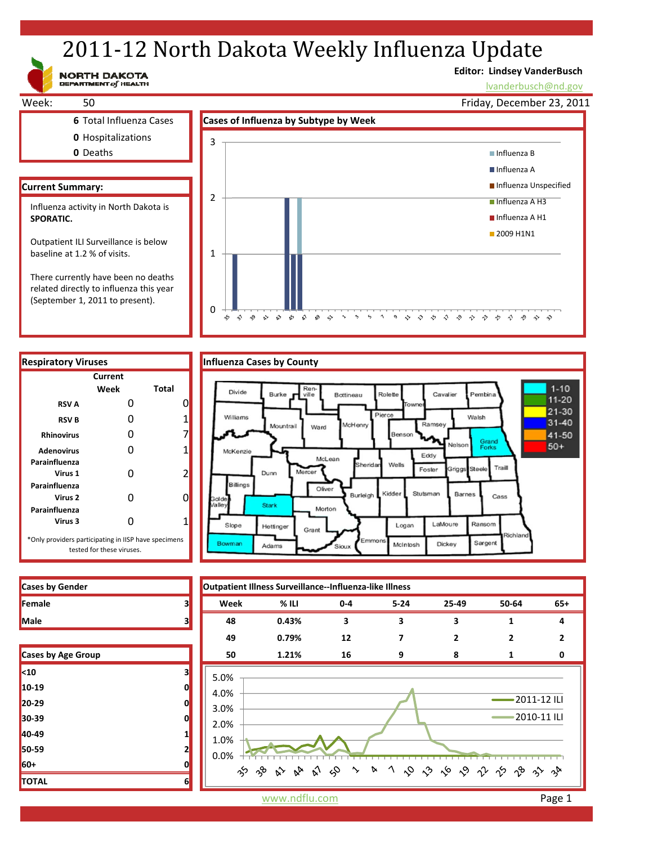# 2011-12 North Dakota Weekly Influenza Update

NORTH DAKOTA

## **Editor: Lindsey VanderBusch**

\* \* \* \* \* \* \* \* \* \* \* \*

Pembina

Grand<br>Forks

Traill

Cass

tichlan

Ransom

Sargent

Walsh

Cavalier

**Sriggs** 

LaMoure

Dickey

Barnes

lvanderbusch@nd.gov

 $1 - 10$ 

 $11 - 20$ 21-30

 $31 - 40$ 

41-50

 $50+$ 



 $\sqrt{2}$   $\sqrt{2}$ 

 $\rightarrow$ 

 $\sim$ 

related directly to influenza this year (September 1, 2011 to present).



0

z  $\hat{\gamma}$  $\gamma^{\bullet}_{\gamma}$   $\mathbf{v}^{\prime}$  $\mathbb{R}^5$  –  $\mathbb{S}^7$ 

 $\approx$ 



| <b>Cases by Gender</b> |  |
|------------------------|--|
| Female                 |  |
| Male                   |  |

| Cases by Age Group |   |
|--------------------|---|
| $10$               | 3 |
| 10-19              | በ |
| $20 - 29$          | 0 |
| 30-39              | 0 |
| 40-49              | 1 |
| 50-59              | 2 |
| 60+                | 0 |
| <b>TOTAL</b>       | 6 |

www.ndflu.com **Page 1**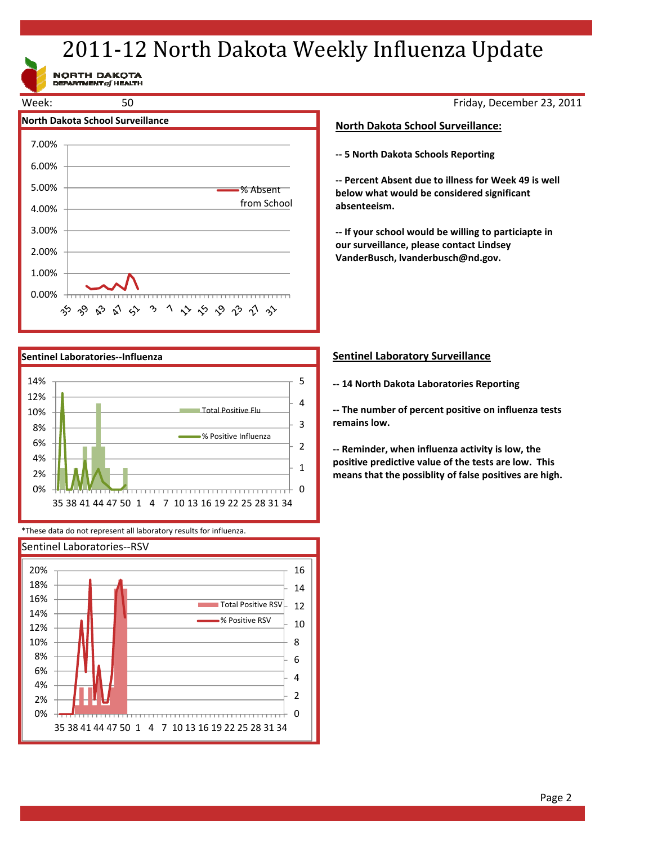# 2011-12 North Dakota Weekly Influenza Update

NORTH DAKOTA<br>DEPARTMENT of HEALTH





\*These data do not represent all laboratory results for influenza.



Friday, December 23, 2011

### **North Dakota School Surveillance:**

**‐‐ 5 North Dakota Schools Reporting**

**‐‐ Percent Absent due to illness for Week 49 is well below what would be considered significant absenteeism.**

**‐‐ If your school would be willing to particiapte in our surveillance, please contact Lindsey VanderBusch, lvanderbusch@nd.gov.**

### **Sentinel Laboratory Surveillance**

**‐‐ 14 North Dakota Laboratories Reporting**

**‐‐ The number of percent positive on influenza tests remains low.**

**‐‐ Reminder, when influenza activity is low, the positive predictive value of the tests are low. This means that the possiblity of false positives are high.**